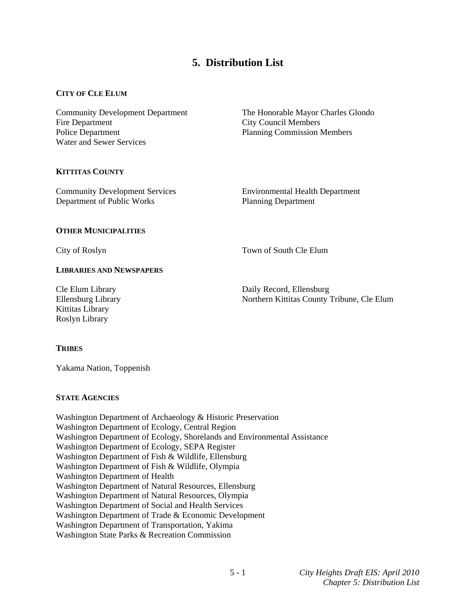# **5. Distribution List**

## **CITY OF CLE ELUM**

Fire Department City Council Members Police Department Planning Commission Members Water and Sewer Services

Community Development Department The Honorable Mayor Charles Glondo

## **KITTITAS COUNTY**

Community Development Services Environmental Health Department Department of Public Works Planning Department

## **OTHER MUNICIPALITIES**

City of Roslyn Town of South Cle Elum

# **LIBRARIES AND NEWSPAPERS**

Kittitas Library Roslyn Library

Cle Elum Library Daily Record, Ellensburg Ellensburg Library Northern Kittitas County Tribune, Cle Elum

## **TRIBES**

Yakama Nation, Toppenish

## **STATE AGENCIES**

Washington Department of Archaeology & Historic Preservation Washington Department of Ecology, Central Region Washington Department of Ecology, Shorelands and Environmental Assistance Washington Department of Ecology, SEPA Register Washington Department of Fish & Wildlife, Ellensburg Washington Department of Fish & Wildlife, Olympia Washington Department of Health Washington Department of Natural Resources, Ellensburg Washington Department of Natural Resources, Olympia Washington Department of Social and Health Services Washington Department of Trade & Economic Development Washington Department of Transportation, Yakima Washington State Parks & Recreation Commission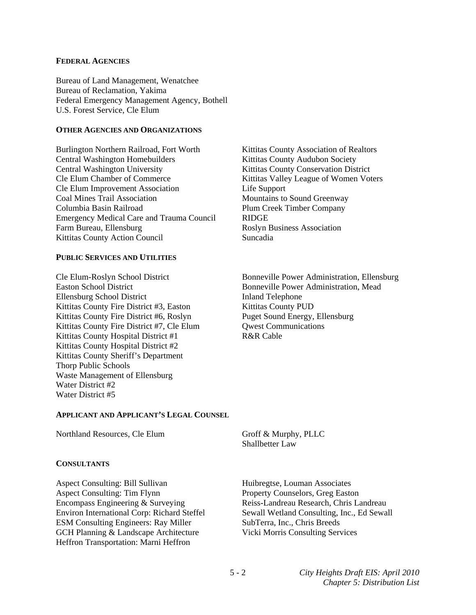#### **FEDERAL AGENCIES**

Bureau of Land Management, Wenatchee Bureau of Reclamation, Yakima Federal Emergency Management Agency, Bothell U.S. Forest Service, Cle Elum

#### **OTHER AGENCIES AND ORGANIZATIONS**

Burlington Northern Railroad, Fort Worth Kittitas County Association of Realtors Central Washington Homebuilders **Kittitas County Audubon Society** Central Washington University Kittitas County Conservation District Cle Elum Chamber of Commerce Kittitas Valley League of Women Voters Cle Elum Improvement Association Life Support Coal Mines Trail Association **Mountains to Sound Greenway** Columbia Basin Railroad Plum Creek Timber Company Emergency Medical Care and Trauma Council RIDGE Farm Bureau, Ellensburg **Roslyn Business Association** Kittitas County Action Council Suncadia

## **PUBLIC SERVICES AND UTILITIES**

Ellensburg School District Inland Telephone Kittitas County Fire District #3, Easton Kittitas County PUD Kittitas County Fire District #6, Roslyn Puget Sound Energy, Ellensburg Kittitas County Fire District #7, Cle Elum Owest Communications Kittitas County Hospital District #1 R&R Cable Kittitas County Hospital District #2 Kittitas County Sheriff's Department Thorp Public Schools Waste Management of Ellensburg Water District #2 Water District #5

Cle Elum-Roslyn School District Bonneville Power Administration, Ellensburg Bonneville Power Administration, Mead

#### **APPLICANT AND APPLICANT'S LEGAL COUNSEL**

Northland Resources, Cle Elum Groff & Murphy, PLLC

#### **CONSULTANTS**

Aspect Consulting: Bill Sullivan Huibregtse, Louman Associates Aspect Consulting: Tim Flynn Property Counselors, Greg Easton Encompass Engineering & Surveying Reiss-Landreau Research, Chris Landreau ESM Consulting Engineers: Ray Miller SubTerra, Inc., Chris Breeds GCH Planning & Landscape Architecture Vicki Morris Consulting Services Heffron Transportation: Marni Heffron

Shallbetter Law

Environ International Corp: Richard Steffel Sewall Wetland Consulting, Inc., Ed Sewall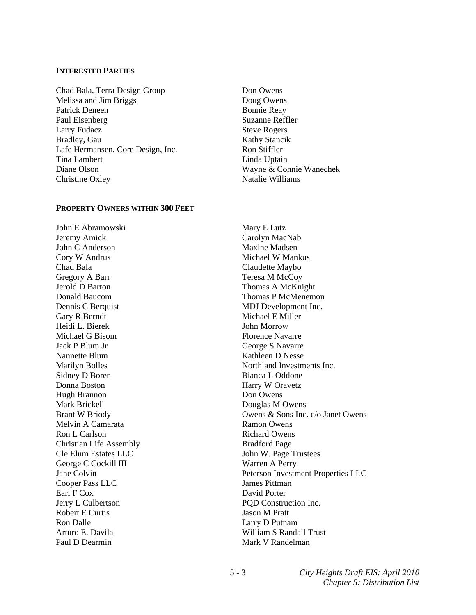#### **INTERESTED PARTIES**

Chad Bala, Terra Design Group Don Owens Melissa and Jim Briggs Doug Owens Patrick Deneen Bonnie Reay Paul Eisenberg Suzanne Reffler Larry Fudacz Steve Rogers Bradley, Gau Kathy Stancik Lafe Hermansen, Core Design, Inc. Ron Stiffler Tina Lambert Linda Uptain Diane Olson Wayne & Connie Wanechek Christine Oxley Natalie Williams

#### **PROPERTY OWNERS WITHIN 300 FEET**

John E Abramowski Mary E Lutz Jeremy Amick Carolyn MacNab John C Anderson Maxine Madsen Cory W Andrus Michael W Mankus Chad Bala Claudette Maybo Gregory A Barr Teresa M McCoy<br>
Jerold D Barton Thomas A McKni Dennis C Berquist MDJ Development Inc. Gary R Berndt Michael E Miller Heidi L. Bierek John Morrow Michael G Bisom Florence Navarre Jack P Blum Jr George S Navarre Nannette Blum Kathleen D Nesse Sidney D Boren Bianca L Oddone Donna Boston Harry W Oravetz Hugh Brannon Don Owens Mark Brickell Douglas M Owens Melvin A Camarata Ramon Owens Ron L Carlson Richard Owens Christian Life Assembly Bradford Page Cle Elum Estates LLC<br>
John W. Page Trustees George C Cockill III Warren A Perry Cooper Pass LLC James Pittman Earl F Cox David Porter Jerry L Culbertson PQD Construction Inc. Robert E Curtis Jason M Pratt Ron Dalle Larry D Putnam Paul D Dearmin Mark V Randelman

Thomas A McKnight Donald Baucom Thomas P McMenemon Marilyn Bolles Northland Investments Inc. Brant W Briody **Owens & Sons Inc. c/o Janet Owens** Jane Colvin Peterson Investment Properties LLC Arturo E. Davila **Milliam S Randall Trust**